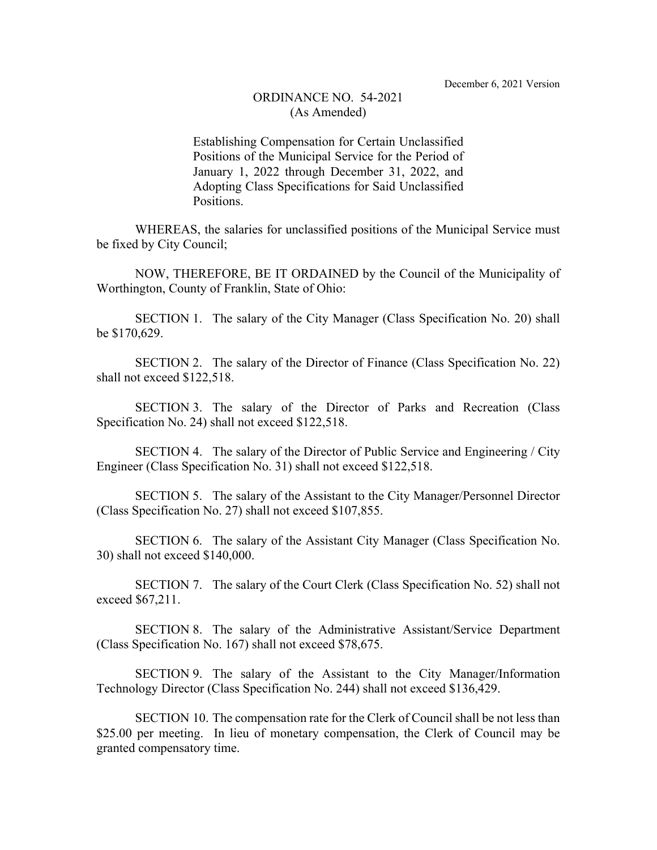## ORDINANCE NO. 54-2021 (As Amended)

Establishing Compensation for Certain Unclassified Positions of the Municipal Service for the Period of January 1, 2022 through December 31, 2022, and Adopting Class Specifications for Said Unclassified Positions.

WHEREAS, the salaries for unclassified positions of the Municipal Service must be fixed by City Council;

NOW, THEREFORE, BE IT ORDAINED by the Council of the Municipality of Worthington, County of Franklin, State of Ohio:

SECTION 1. The salary of the City Manager (Class Specification No. 20) shall be \$170,629.

SECTION 2. The salary of the Director of Finance (Class Specification No. 22) shall not exceed \$122,518.

SECTION 3. The salary of the Director of Parks and Recreation (Class Specification No. 24) shall not exceed \$122,518.

SECTION 4. The salary of the Director of Public Service and Engineering / City Engineer (Class Specification No. 31) shall not exceed \$122,518.

SECTION 5. The salary of the Assistant to the City Manager/Personnel Director (Class Specification No. 27) shall not exceed \$107,855.

SECTION 6. The salary of the Assistant City Manager (Class Specification No. 30) shall not exceed \$140,000.

SECTION 7. The salary of the Court Clerk (Class Specification No. 52) shall not exceed \$67,211.

SECTION 8. The salary of the Administrative Assistant/Service Department (Class Specification No. 167) shall not exceed \$78,675.

SECTION 9. The salary of the Assistant to the City Manager/Information Technology Director (Class Specification No. 244) shall not exceed \$136,429.

SECTION 10. The compensation rate for the Clerk of Council shall be not less than \$25.00 per meeting. In lieu of monetary compensation, the Clerk of Council may be granted compensatory time.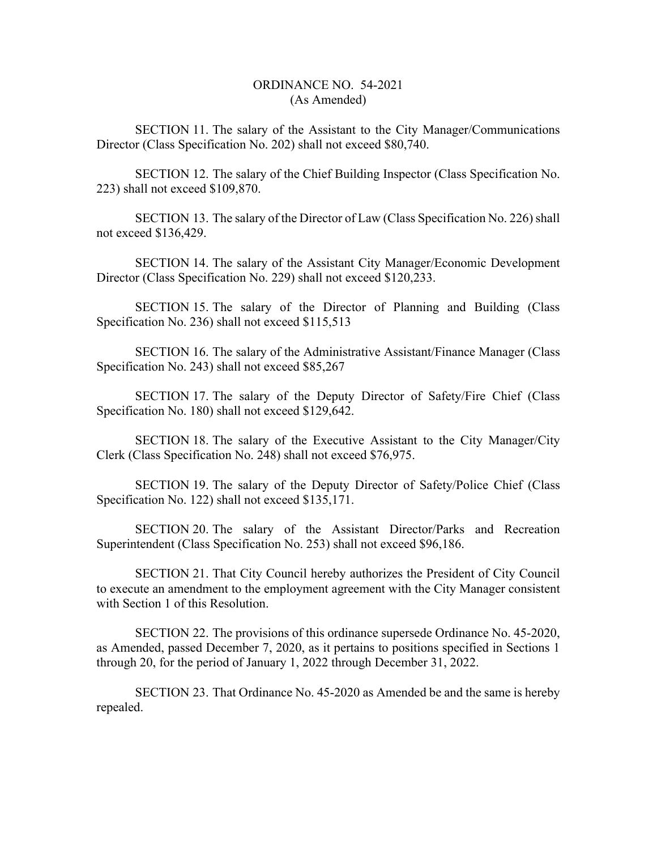## ORDINANCE NO. 54-2021 (As Amended)

SECTION 11. The salary of the Assistant to the City Manager/Communications Director (Class Specification No. 202) shall not exceed \$80,740.

SECTION 12. The salary of the Chief Building Inspector (Class Specification No. 223) shall not exceed \$109,870.

SECTION 13. The salary of the Director of Law (Class Specification No. 226) shall not exceed \$136,429.

SECTION 14. The salary of the Assistant City Manager/Economic Development Director (Class Specification No. 229) shall not exceed \$120,233.

SECTION 15. The salary of the Director of Planning and Building (Class Specification No. 236) shall not exceed \$115,513

SECTION 16. The salary of the Administrative Assistant/Finance Manager (Class Specification No. 243) shall not exceed \$85,267

SECTION 17. The salary of the Deputy Director of Safety/Fire Chief (Class Specification No. 180) shall not exceed \$129,642.

SECTION 18. The salary of the Executive Assistant to the City Manager/City Clerk (Class Specification No. 248) shall not exceed \$76,975.

SECTION 19. The salary of the Deputy Director of Safety/Police Chief (Class Specification No. 122) shall not exceed \$135,171.

SECTION 20. The salary of the Assistant Director/Parks and Recreation Superintendent (Class Specification No. 253) shall not exceed \$96,186.

SECTION 21. That City Council hereby authorizes the President of City Council to execute an amendment to the employment agreement with the City Manager consistent with Section 1 of this Resolution.

SECTION 22. The provisions of this ordinance supersede Ordinance No. 45-2020, as Amended, passed December 7, 2020, as it pertains to positions specified in Sections 1 through 20, for the period of January 1, 2022 through December 31, 2022.

SECTION 23. That Ordinance No. 45-2020 as Amended be and the same is hereby repealed.